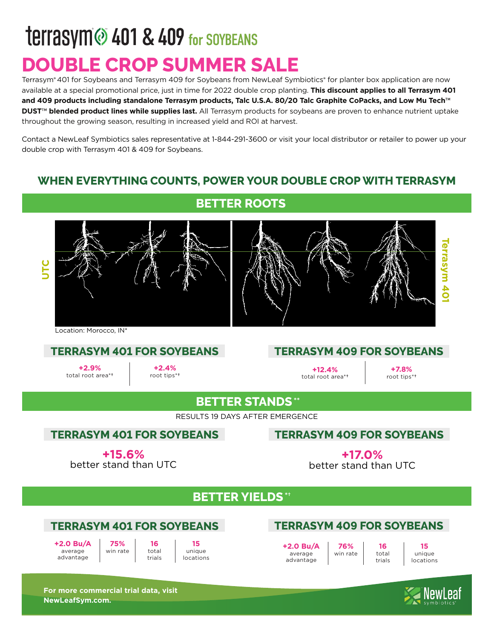## **TEITASYM @ 401 & 409 for SOYBEANS DOUBLE CROP SUMMER SALE**

Terrasym® 401 for Soybeans and Terrasym 409 for Soybeans from NewLeaf Symbiotics® for planter box application are now available at a special promotional price, just in time for 2022 double crop planting. **This discount applies to all Terrasym 401 and 409 products including standalone Terrasym products, Talc U.S.A. 80/20 Talc Graphite CoPacks, and Low Mu Tech**™ **DUST**™ **blended product lines while supplies last.** All Terrasym products for soybeans are proven to enhance nutrient uptake throughout the growing season, resulting in increased yield and ROI at harvest.

Contact a NewLeaf Symbiotics sales representative at 1-844-291-3600 or visit your local distributor or retailer to power up your double crop with Terrasym 401 & 409 for Soybeans.

#### **WHEN EVERYTHING COUNTS, POWER YOUR DOUBLE CROP WITH TERRASYM**

#### **BETTER ROOTS**



Location: Morocco, IN\*

**+2.9%** total root area\***†**

**+2.4%** root tips\***†**

#### **TERRASYM 401 FOR SOYBEANS TERRASYM 409 FOR SOYBEANS**

**+12.4%** total root area\***†**

**+7.8%** root tips\***†**

#### **BETTER STANDS \*\***

RESULTS 19 DAYS AFTER EMERGENCE

#### **TERRASYM 401 FOR SOYBEANS**

#### **TERRASYM 409 FOR SOYBEANS**

**+15.6%** better stand than UTC

**+17.0%** better stand than UTC

#### **BETTER YIELDS \*†**

#### **TERRASYM 401 FOR SOYBEANS**

**+2.0 Bu/A**  average advantage

**16** total trials **75%** win rate

**15**  unique locations

#### **TERRASYM 409 FOR SOYBEANS**

**76%** win rate

**+2.0 Bu/A**  average advantage

**16** total trials

**15** unique locations

**For more commercial trial data, visit NewLeafSym.com.**